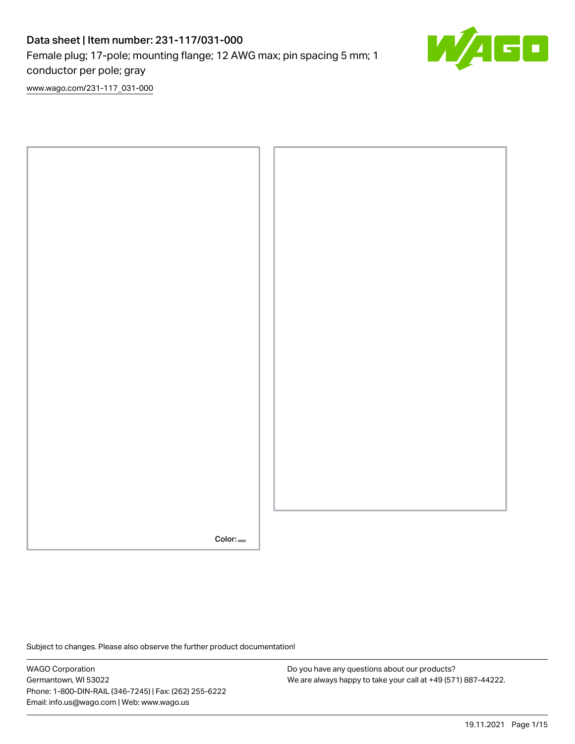# Data sheet | Item number: 231-117/031-000 Female plug; 17-pole; mounting flange; 12 AWG max; pin spacing 5 mm; 1 conductor per pole; gray



[www.wago.com/231-117\\_031-000](http://www.wago.com/231-117_031-000)



Subject to changes. Please also observe the further product documentation!

WAGO Corporation Germantown, WI 53022 Phone: 1-800-DIN-RAIL (346-7245) | Fax: (262) 255-6222 Email: info.us@wago.com | Web: www.wago.us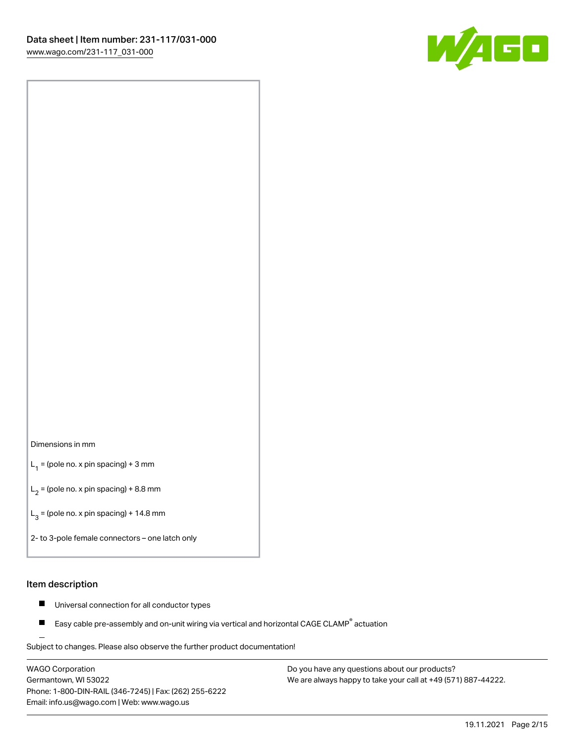

#### Dimensions in mm

 $L_1$  = (pole no. x pin spacing) + 3 mm

 $L_2$  = (pole no. x pin spacing) + 8.8 mm

 $L_3$  = (pole no. x pin spacing) + 14.8 mm

2- to 3-pole female connectors – one latch only

#### Item description

- $\blacksquare$ Universal connection for all conductor types
- Easy cable pre-assembly and on-unit wiring via vertical and horizontal CAGE CLAMP<sup>®</sup> actuation П

.<br>Subject to changes. Please also observe the further product documentation!

WAGO Corporation Germantown, WI 53022 Phone: 1-800-DIN-RAIL (346-7245) | Fax: (262) 255-6222 Email: info.us@wago.com | Web: www.wago.us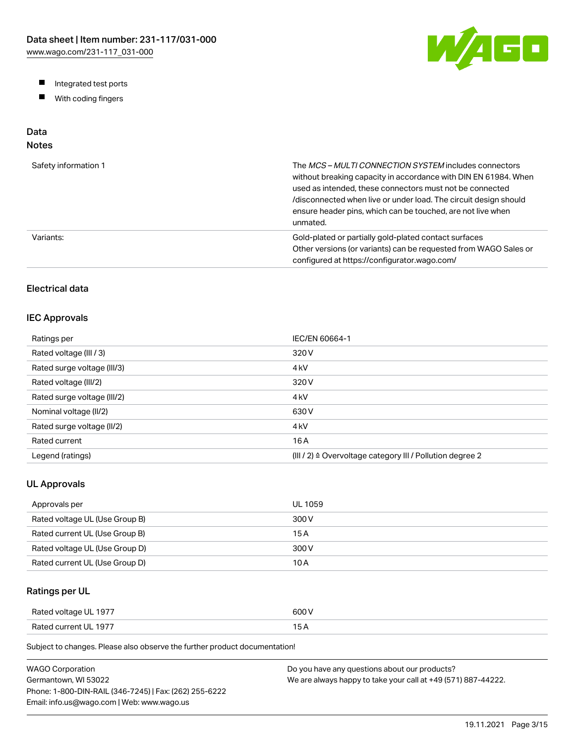W/AGO

- Integrated test ports
- $\blacksquare$ With coding fingers

# Data

## Notes

| Safety information 1 | The MCS-MULTI CONNECTION SYSTEM includes connectors<br>without breaking capacity in accordance with DIN EN 61984. When<br>used as intended, these connectors must not be connected<br>/disconnected when live or under load. The circuit design should<br>ensure header pins, which can be touched, are not live when<br>unmated. |
|----------------------|-----------------------------------------------------------------------------------------------------------------------------------------------------------------------------------------------------------------------------------------------------------------------------------------------------------------------------------|
| Variants:            | Gold-plated or partially gold-plated contact surfaces<br>Other versions (or variants) can be requested from WAGO Sales or<br>configured at https://configurator.wago.com/                                                                                                                                                         |

### Electrical data

#### IEC Approvals

| Ratings per                 | IEC/EN 60664-1                                                        |
|-----------------------------|-----------------------------------------------------------------------|
| Rated voltage (III / 3)     | 320 V                                                                 |
| Rated surge voltage (III/3) | 4 <sub>kV</sub>                                                       |
| Rated voltage (III/2)       | 320 V                                                                 |
| Rated surge voltage (III/2) | 4 <sub>k</sub> V                                                      |
| Nominal voltage (II/2)      | 630 V                                                                 |
| Rated surge voltage (II/2)  | 4 <sub>k</sub> V                                                      |
| Rated current               | 16 A                                                                  |
| Legend (ratings)            | $(III / 2)$ $\triangle$ Overvoltage category III / Pollution degree 2 |

#### UL Approvals

| Approvals per                  | <b>UL 1059</b> |
|--------------------------------|----------------|
| Rated voltage UL (Use Group B) | 300 V          |
| Rated current UL (Use Group B) | 15 A           |
| Rated voltage UL (Use Group D) | 300 V          |
| Rated current UL (Use Group D) | 10 A           |

### Ratings per UL

| Rated voltage UL 1977 | 600 V  |
|-----------------------|--------|
| Rated current UL 1977 | $\sim$ |

Subject to changes. Please also observe the further product documentation!

| WAGO Corporation                                       | Do you have any questions about our products?                 |
|--------------------------------------------------------|---------------------------------------------------------------|
| Germantown. WI 53022                                   | We are always happy to take your call at +49 (571) 887-44222. |
| Phone: 1-800-DIN-RAIL (346-7245)   Fax: (262) 255-6222 |                                                               |
| Email: info.us@wago.com   Web: www.wago.us             |                                                               |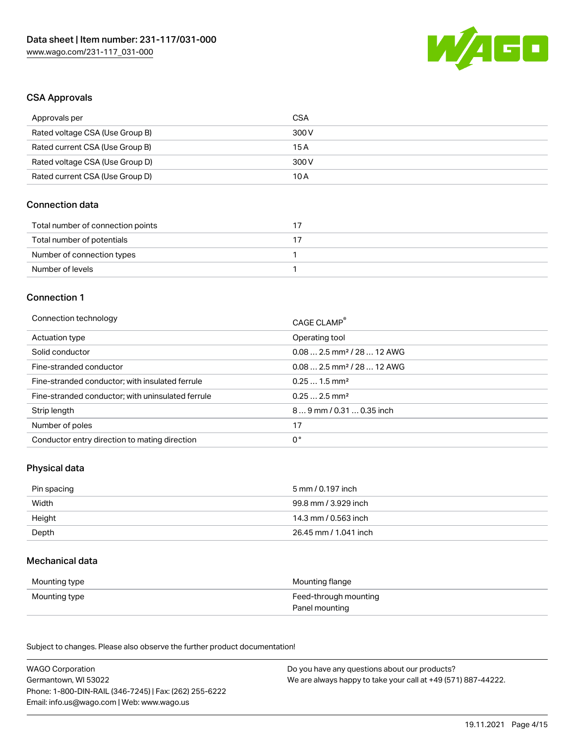

#### CSA Approvals

| Approvals per                   | CSA   |
|---------------------------------|-------|
| Rated voltage CSA (Use Group B) | 300 V |
| Rated current CSA (Use Group B) | 15 A  |
| Rated voltage CSA (Use Group D) | 300 V |
| Rated current CSA (Use Group D) | 10 A  |

#### Connection data

| Total number of connection points |  |
|-----------------------------------|--|
| Total number of potentials        |  |
| Number of connection types        |  |
| Number of levels                  |  |

#### Connection 1

| Connection technology                             | CAGE CLAMP®                            |
|---------------------------------------------------|----------------------------------------|
| Actuation type                                    | Operating tool                         |
| Solid conductor                                   | $0.082.5$ mm <sup>2</sup> / 28  12 AWG |
| Fine-stranded conductor                           | $0.082.5$ mm <sup>2</sup> / 28  12 AWG |
| Fine-stranded conductor; with insulated ferrule   | $0.251.5$ mm <sup>2</sup>              |
| Fine-stranded conductor; with uninsulated ferrule | $0.252.5$ mm <sup>2</sup>              |
| Strip length                                      | $89$ mm / 0.31  0.35 inch              |
| Number of poles                                   | 17                                     |
| Conductor entry direction to mating direction     | 0°                                     |

#### Physical data

| Pin spacing | 5 mm / 0.197 inch     |
|-------------|-----------------------|
| Width       | 99.8 mm / 3.929 inch  |
| Height      | 14.3 mm / 0.563 inch  |
| Depth       | 26.45 mm / 1.041 inch |

#### Mechanical data

| Mounting type | Mounting flange       |
|---------------|-----------------------|
| Mounting type | Feed-through mounting |
|               | Panel mounting        |

Subject to changes. Please also observe the further product documentation!

| <b>WAGO Corporation</b>                                | Do you have any questions about our products?                 |
|--------------------------------------------------------|---------------------------------------------------------------|
| Germantown, WI 53022                                   | We are always happy to take your call at +49 (571) 887-44222. |
| Phone: 1-800-DIN-RAIL (346-7245)   Fax: (262) 255-6222 |                                                               |
| Email: info.us@wago.com   Web: www.wago.us             |                                                               |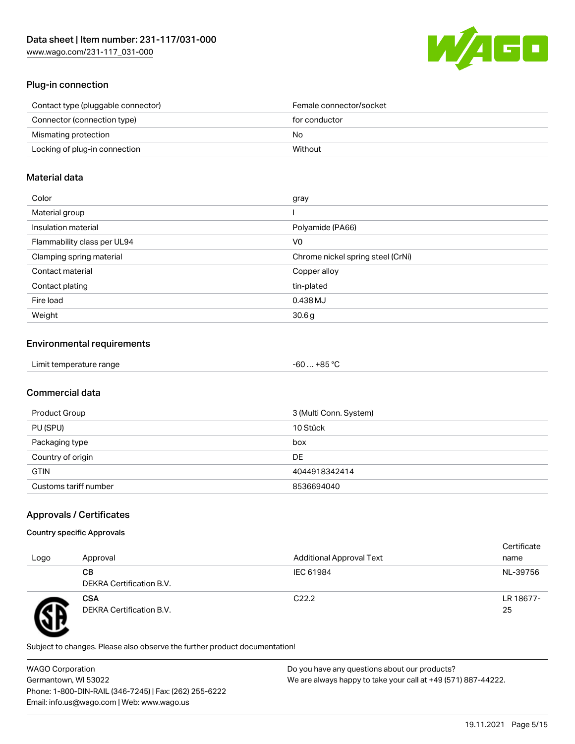

#### Plug-in connection

| Contact type (pluggable connector) | Female connector/socket |
|------------------------------------|-------------------------|
| Connector (connection type)        | for conductor           |
| Mismating protection               | No.                     |
| Locking of plug-in connection      | Without                 |
|                                    |                         |

#### Material data

| Color                       | gray                              |
|-----------------------------|-----------------------------------|
| Material group              |                                   |
| Insulation material         | Polyamide (PA66)                  |
| Flammability class per UL94 | V0                                |
| Clamping spring material    | Chrome nickel spring steel (CrNi) |
| Contact material            | Copper alloy                      |
| Contact plating             | tin-plated                        |
| Fire load                   | 0.438 MJ                          |
| Weight                      | 30.6 <sub>g</sub>                 |

#### Environmental requirements

| Limit temperature range<br>$\blacksquare$ . The contract of the contract of the contract of the contract of the contract of the contract of the contract of the contract of the contract of the contract of the contract of the contract of the contract of the | . +85 °Ր<br>-60 |
|-----------------------------------------------------------------------------------------------------------------------------------------------------------------------------------------------------------------------------------------------------------------|-----------------|
|-----------------------------------------------------------------------------------------------------------------------------------------------------------------------------------------------------------------------------------------------------------------|-----------------|

#### Commercial data

| Product Group         | 3 (Multi Conn. System) |
|-----------------------|------------------------|
| PU (SPU)              | 10 Stück               |
| Packaging type        | box                    |
| Country of origin     | DE                     |
| <b>GTIN</b>           | 4044918342414          |
| Customs tariff number | 8536694040             |

#### Approvals / Certificates

#### Country specific Approvals

| Logo | Approval                               | <b>Additional Approval Text</b> | Certificate<br>name |
|------|----------------------------------------|---------------------------------|---------------------|
|      | CВ<br>DEKRA Certification B.V.         | IEC 61984                       | NL-39756            |
|      | <b>CSA</b><br>DEKRA Certification B.V. | C <sub>22.2</sub>               | LR 18677-<br>25     |

Subject to changes. Please also observe the further product documentation!

WAGO Corporation Germantown, WI 53022 Phone: 1-800-DIN-RAIL (346-7245) | Fax: (262) 255-6222 Email: info.us@wago.com | Web: www.wago.us Do you have any questions about our products? We are always happy to take your call at +49 (571) 887-44222.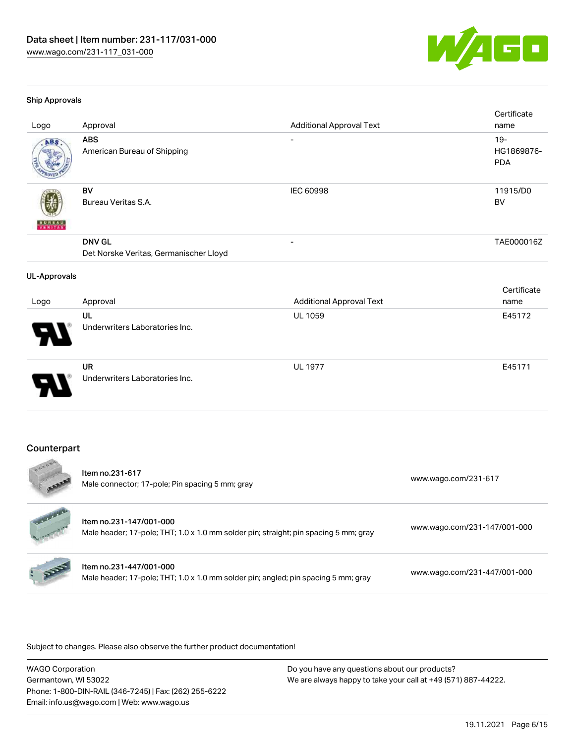

#### Ship Approvals

| Logo                | Approval                                                | <b>Additional Approval Text</b> | Certificate<br>name                |
|---------------------|---------------------------------------------------------|---------------------------------|------------------------------------|
| ABS                 | <b>ABS</b><br>American Bureau of Shipping               | $\overline{\phantom{a}}$        | $19 -$<br>HG1869876-<br><b>PDA</b> |
| VERITAS             | <b>BV</b><br>Bureau Veritas S.A.                        | <b>IEC 60998</b>                | 11915/D0<br><b>BV</b>              |
|                     | <b>DNV GL</b><br>Det Norske Veritas, Germanischer Lloyd |                                 | TAE000016Z                         |
| <b>UL-Approvals</b> |                                                         |                                 |                                    |
| Logo                | Approval                                                | <b>Additional Approval Text</b> | Certificate<br>name                |
|                     | UL<br>Underwriters Laboratories Inc.                    | UL 1059                         | E45172                             |
|                     | <b>UR</b><br>Underwriters Laboratories Inc.             | <b>UL 1977</b>                  | E45171                             |
| Counterpart         |                                                         |                                 |                                    |

#### riter par  $\sim$

 $J$  and  $\overline{J}$ 

| <b>4500 W</b>    | Item no.231-617<br>Male connector; 17-pole; Pin spacing 5 mm; gray                                              | www.wago.com/231-617         |
|------------------|-----------------------------------------------------------------------------------------------------------------|------------------------------|
| <b>Harlanger</b> | Item no.231-147/001-000<br>Male header; 17-pole; THT; 1.0 x 1.0 mm solder pin; straight; pin spacing 5 mm; gray | www.wago.com/231-147/001-000 |
| Reg              | Item no.231-447/001-000<br>Male header; 17-pole; THT; 1.0 x 1.0 mm solder pin; angled; pin spacing 5 mm; gray   | www.wago.com/231-447/001-000 |

Subject to changes. Please also observe the further product documentation!

WAGO Corporation Germantown, WI 53022 Phone: 1-800-DIN-RAIL (346-7245) | Fax: (262) 255-6222 Email: info.us@wago.com | Web: www.wago.us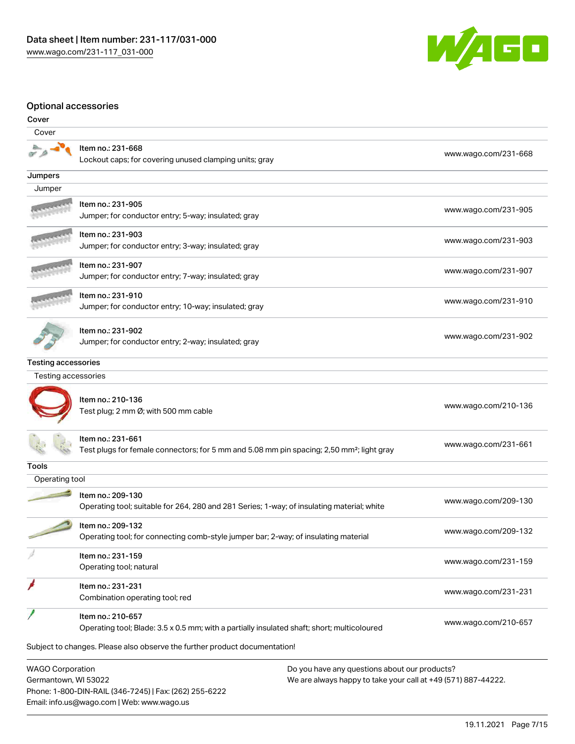Email: info.us@wago.com | Web: www.wago.us



#### Optional accessories

| Cover                                           |                                                                                                                            |                                                                                                                |
|-------------------------------------------------|----------------------------------------------------------------------------------------------------------------------------|----------------------------------------------------------------------------------------------------------------|
| Cover                                           |                                                                                                                            |                                                                                                                |
|                                                 | Item no.: 231-668<br>Lockout caps; for covering unused clamping units; gray                                                | www.wago.com/231-668                                                                                           |
| Jumpers                                         |                                                                                                                            |                                                                                                                |
| Jumper                                          |                                                                                                                            |                                                                                                                |
|                                                 | Item no.: 231-905<br>Jumper; for conductor entry; 5-way; insulated; gray                                                   | www.wago.com/231-905                                                                                           |
|                                                 | Item no.: 231-903<br>Jumper; for conductor entry; 3-way; insulated; gray                                                   | www.wago.com/231-903                                                                                           |
|                                                 | Item no.: 231-907<br>Jumper; for conductor entry; 7-way; insulated; gray                                                   | www.wago.com/231-907                                                                                           |
|                                                 | Item no.: 231-910<br>Jumper; for conductor entry; 10-way; insulated; gray                                                  | www.wago.com/231-910                                                                                           |
|                                                 | Item no.: 231-902<br>Jumper; for conductor entry; 2-way; insulated; gray                                                   | www.wago.com/231-902                                                                                           |
| <b>Testing accessories</b>                      |                                                                                                                            |                                                                                                                |
| Testing accessories                             |                                                                                                                            |                                                                                                                |
|                                                 | Item no.: 210-136<br>Test plug; 2 mm Ø; with 500 mm cable                                                                  | www.wago.com/210-136                                                                                           |
|                                                 | Item no.: 231-661<br>Test plugs for female connectors; for 5 mm and 5.08 mm pin spacing; 2,50 mm <sup>2</sup> ; light gray | www.wago.com/231-661                                                                                           |
| Tools                                           |                                                                                                                            |                                                                                                                |
| Operating tool                                  |                                                                                                                            |                                                                                                                |
|                                                 | Item no.: 209-130<br>Operating tool; suitable for 264, 280 and 281 Series; 1-way; of insulating material; white            | www.wago.com/209-130                                                                                           |
|                                                 | Item no.: 209-132<br>Operating tool; for connecting comb-style jumper bar; 2-way; of insulating material                   | www.wago.com/209-132                                                                                           |
|                                                 | Item no.: 231-159<br>Operating tool; natural                                                                               | www.wago.com/231-159                                                                                           |
|                                                 | Item no.: 231-231<br>Combination operating tool; red                                                                       | www.wago.com/231-231                                                                                           |
|                                                 | Item no.: 210-657<br>Operating tool; Blade: 3.5 x 0.5 mm; with a partially insulated shaft; short; multicoloured           | www.wago.com/210-657                                                                                           |
|                                                 | Subject to changes. Please also observe the further product documentation!                                                 |                                                                                                                |
| <b>WAGO Corporation</b><br>Germantown, WI 53022 | Phone: 1-800-DIN-RAIL (346-7245)   Fax: (262) 255-6222                                                                     | Do you have any questions about our products?<br>We are always happy to take your call at +49 (571) 887-44222. |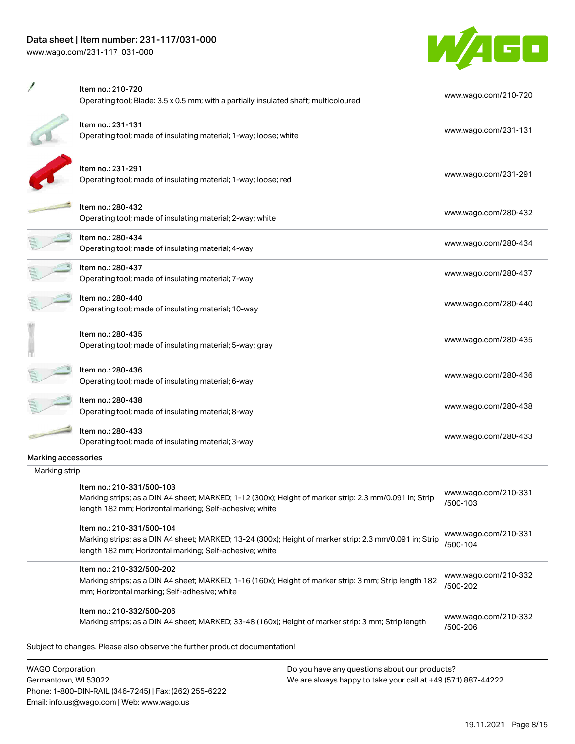# Data sheet | Item number: 231-117/031-000

[www.wago.com/231-117\\_031-000](http://www.wago.com/231-117_031-000)

Email: info.us@wago.com | Web: www.wago.us



|                                                 | Item no.: 210-720<br>Operating tool; Blade: 3.5 x 0.5 mm; with a partially insulated shaft; multicoloured                                                                                       |                                                                                                                | www.wago.com/210-720             |
|-------------------------------------------------|-------------------------------------------------------------------------------------------------------------------------------------------------------------------------------------------------|----------------------------------------------------------------------------------------------------------------|----------------------------------|
|                                                 | Item no.: 231-131<br>Operating tool; made of insulating material; 1-way; loose; white                                                                                                           |                                                                                                                | www.wago.com/231-131             |
|                                                 | Item no.: 231-291<br>Operating tool; made of insulating material; 1-way; loose; red                                                                                                             |                                                                                                                | www.wago.com/231-291             |
|                                                 | Item no.: 280-432<br>Operating tool; made of insulating material; 2-way; white                                                                                                                  |                                                                                                                | www.wago.com/280-432             |
|                                                 | ltem no.: 280-434<br>Operating tool; made of insulating material; 4-way                                                                                                                         |                                                                                                                | www.wago.com/280-434             |
|                                                 | Item no.: 280-437<br>Operating tool; made of insulating material; 7-way                                                                                                                         |                                                                                                                | www.wago.com/280-437             |
|                                                 | Item no.: 280-440<br>Operating tool; made of insulating material; 10-way                                                                                                                        |                                                                                                                | www.wago.com/280-440             |
|                                                 | Item no.: 280-435<br>Operating tool; made of insulating material; 5-way; gray                                                                                                                   |                                                                                                                | www.wago.com/280-435             |
|                                                 | Item no.: 280-436<br>Operating tool; made of insulating material; 6-way                                                                                                                         |                                                                                                                | www.wago.com/280-436             |
|                                                 | Item no.: 280-438<br>Operating tool; made of insulating material; 8-way                                                                                                                         |                                                                                                                | www.wago.com/280-438             |
|                                                 | Item no.: 280-433<br>Operating tool; made of insulating material; 3-way                                                                                                                         |                                                                                                                | www.wago.com/280-433             |
| Marking accessories                             |                                                                                                                                                                                                 |                                                                                                                |                                  |
| Marking strip                                   | Item no.: 210-331/500-103<br>Marking strips; as a DIN A4 sheet; MARKED; 1-12 (300x); Height of marker strip: 2.3 mm/0.091 in; Strip<br>length 182 mm; Horizontal marking; Self-adhesive; white  |                                                                                                                | www.wago.com/210-331<br>/500-103 |
|                                                 | Item no.: 210-331/500-104<br>Marking strips; as a DIN A4 sheet; MARKED; 13-24 (300x); Height of marker strip: 2.3 mm/0.091 in; Strip<br>length 182 mm; Horizontal marking; Self-adhesive; white |                                                                                                                | www.wago.com/210-331<br>/500-104 |
|                                                 | Item no.: 210-332/500-202<br>Marking strips; as a DIN A4 sheet; MARKED; 1-16 (160x); Height of marker strip: 3 mm; Strip length 182<br>mm; Horizontal marking; Self-adhesive; white             |                                                                                                                | www.wago.com/210-332<br>/500-202 |
|                                                 | Item no.: 210-332/500-206<br>Marking strips; as a DIN A4 sheet; MARKED; 33-48 (160x); Height of marker strip: 3 mm; Strip length                                                                |                                                                                                                | www.wago.com/210-332<br>/500-206 |
|                                                 | Subject to changes. Please also observe the further product documentation!                                                                                                                      |                                                                                                                |                                  |
| <b>WAGO Corporation</b><br>Germantown, WI 53022 | Phone: 1-800-DIN-RAIL (346-7245)   Fax: (262) 255-6222                                                                                                                                          | Do you have any questions about our products?<br>We are always happy to take your call at +49 (571) 887-44222. |                                  |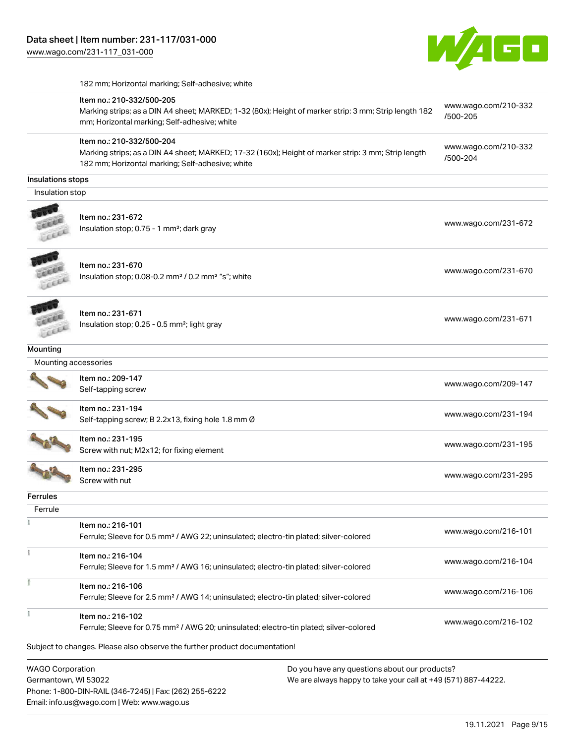

|  | 182 mm; Horizontal marking; Self-adhesive; white |
|--|--------------------------------------------------|
|--|--------------------------------------------------|

| <b>WAGO Corporation</b> | Do you have any questions about our products?                                                                                                                                        |                                  |
|-------------------------|--------------------------------------------------------------------------------------------------------------------------------------------------------------------------------------|----------------------------------|
|                         | Subject to changes. Please also observe the further product documentation!                                                                                                           |                                  |
| ł                       | Item no.: 216-102<br>Ferrule; Sleeve for 0.75 mm <sup>2</sup> / AWG 20; uninsulated; electro-tin plated; silver-colored                                                              | www.wago.com/216-102             |
|                         | Item no.: 216-106<br>Ferrule; Sleeve for 2.5 mm <sup>2</sup> / AWG 14; uninsulated; electro-tin plated; silver-colored                                                               | www.wago.com/216-106             |
| Ť.                      | Item no.: 216-104<br>Ferrule; Sleeve for 1.5 mm <sup>2</sup> / AWG 16; uninsulated; electro-tin plated; silver-colored                                                               | www.wago.com/216-104             |
|                         | Item no.: 216-101<br>Ferrule; Sleeve for 0.5 mm <sup>2</sup> / AWG 22; uninsulated; electro-tin plated; silver-colored                                                               | www.wago.com/216-101             |
|                         |                                                                                                                                                                                      |                                  |
| Ferrule                 |                                                                                                                                                                                      |                                  |
| Ferrules                |                                                                                                                                                                                      |                                  |
|                         | Item no.: 231-295<br>Screw with nut                                                                                                                                                  | www.wago.com/231-295             |
|                         | Item no.: 231-195<br>Screw with nut; M2x12; for fixing element                                                                                                                       | www.wago.com/231-195             |
|                         | Item no.: 231-194<br>Self-tapping screw; B 2.2x13, fixing hole 1.8 mm Ø                                                                                                              | www.wago.com/231-194             |
|                         | Item no.: 209-147<br>Self-tapping screw                                                                                                                                              | www.wago.com/209-147             |
|                         | Mounting accessories                                                                                                                                                                 |                                  |
| <b>Mounting</b>         |                                                                                                                                                                                      |                                  |
|                         | Item no.: 231-671<br>Insulation stop; 0.25 - 0.5 mm <sup>2</sup> ; light gray                                                                                                        | www.wago.com/231-671             |
|                         | Item no.: 231-670<br>Insulation stop; 0.08-0.2 mm <sup>2</sup> / 0.2 mm <sup>2</sup> "s"; white                                                                                      | www.wago.com/231-670             |
|                         | Item no.: 231-672<br>Insulation stop; 0.75 - 1 mm <sup>2</sup> ; dark gray                                                                                                           | www.wago.com/231-672             |
| Insulation stop         |                                                                                                                                                                                      |                                  |
| Insulations stops       |                                                                                                                                                                                      |                                  |
|                         | Item no.: 210-332/500-204<br>Marking strips; as a DIN A4 sheet; MARKED; 17-32 (160x); Height of marker strip: 3 mm; Strip length<br>182 mm; Horizontal marking; Self-adhesive; white | www.wago.com/210-332<br>/500-204 |
|                         | Item no.: 210-332/500-205<br>Marking strips; as a DIN A4 sheet; MARKED; 1-32 (80x); Height of marker strip: 3 mm; Strip length 182<br>mm; Horizontal marking; Self-adhesive; white   | www.wago.com/210-332<br>/500-205 |
|                         |                                                                                                                                                                                      |                                  |

WAGO Corporation Germantown, WI 53022 Phone: 1-800-DIN-RAIL (346-7245) | Fax: (262) 255-6222 Email: info.us@wago.com | Web: www.wago.us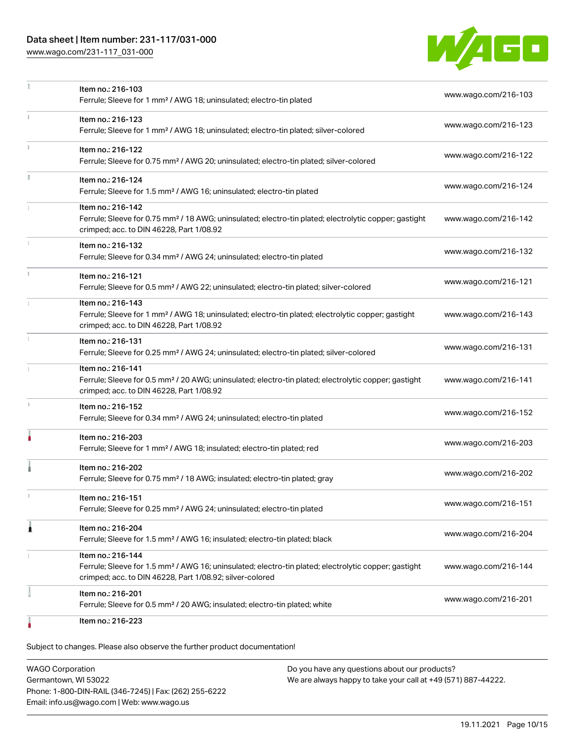### Data sheet | Item number: 231-117/031-000

[www.wago.com/231-117\\_031-000](http://www.wago.com/231-117_031-000)



|    | Item no.: 216-103<br>Ferrule; Sleeve for 1 mm <sup>2</sup> / AWG 18; uninsulated; electro-tin plated                                                                                              | www.wago.com/216-103 |
|----|---------------------------------------------------------------------------------------------------------------------------------------------------------------------------------------------------|----------------------|
|    | Item no.: 216-123<br>Ferrule; Sleeve for 1 mm <sup>2</sup> / AWG 18; uninsulated; electro-tin plated; silver-colored                                                                              | www.wago.com/216-123 |
| ĵ. | Item no.: 216-122<br>Ferrule; Sleeve for 0.75 mm <sup>2</sup> / AWG 20; uninsulated; electro-tin plated; silver-colored                                                                           | www.wago.com/216-122 |
|    | Item no.: 216-124<br>Ferrule; Sleeve for 1.5 mm <sup>2</sup> / AWG 16; uninsulated; electro-tin plated                                                                                            | www.wago.com/216-124 |
|    | Item no.: 216-142<br>Ferrule; Sleeve for 0.75 mm <sup>2</sup> / 18 AWG; uninsulated; electro-tin plated; electrolytic copper; gastight<br>crimped; acc. to DIN 46228, Part 1/08.92                | www.wago.com/216-142 |
|    | Item no.: 216-132<br>Ferrule; Sleeve for 0.34 mm <sup>2</sup> / AWG 24; uninsulated; electro-tin plated                                                                                           | www.wago.com/216-132 |
| i. | Item no.: 216-121<br>Ferrule; Sleeve for 0.5 mm <sup>2</sup> / AWG 22; uninsulated; electro-tin plated; silver-colored                                                                            | www.wago.com/216-121 |
|    | Item no.: 216-143<br>Ferrule; Sleeve for 1 mm <sup>2</sup> / AWG 18; uninsulated; electro-tin plated; electrolytic copper; gastight<br>crimped; acc. to DIN 46228, Part 1/08.92                   | www.wago.com/216-143 |
|    | Item no.: 216-131<br>Ferrule; Sleeve for 0.25 mm <sup>2</sup> / AWG 24; uninsulated; electro-tin plated; silver-colored                                                                           | www.wago.com/216-131 |
|    | Item no.: 216-141<br>Ferrule; Sleeve for 0.5 mm <sup>2</sup> / 20 AWG; uninsulated; electro-tin plated; electrolytic copper; gastight<br>crimped; acc. to DIN 46228, Part 1/08.92                 | www.wago.com/216-141 |
|    | Item no.: 216-152<br>Ferrule; Sleeve for 0.34 mm <sup>2</sup> / AWG 24; uninsulated; electro-tin plated                                                                                           | www.wago.com/216-152 |
|    | Item no.: 216-203<br>Ferrule; Sleeve for 1 mm <sup>2</sup> / AWG 18; insulated; electro-tin plated; red                                                                                           | www.wago.com/216-203 |
|    | Item no.: 216-202<br>Ferrule; Sleeve for 0.75 mm <sup>2</sup> / 18 AWG; insulated; electro-tin plated; gray                                                                                       | www.wago.com/216-202 |
|    | Item no.: 216-151<br>Ferrule; Sleeve for 0.25 mm <sup>2</sup> / AWG 24; uninsulated; electro-tin plated                                                                                           | www.wago.com/216-151 |
| 1  | Item no.: 216-204<br>Ferrule; Sleeve for 1.5 mm <sup>2</sup> / AWG 16; insulated; electro-tin plated; black                                                                                       | www.wago.com/216-204 |
|    | Item no.: 216-144<br>Ferrule; Sleeve for 1.5 mm <sup>2</sup> / AWG 16; uninsulated; electro-tin plated; electrolytic copper; gastight<br>crimped; acc. to DIN 46228, Part 1/08.92; silver-colored | www.wago.com/216-144 |
|    | Item no.: 216-201<br>Ferrule; Sleeve for 0.5 mm <sup>2</sup> / 20 AWG; insulated; electro-tin plated; white                                                                                       | www.wago.com/216-201 |
|    | Item no.: 216-223                                                                                                                                                                                 |                      |

Subject to changes. Please also observe the further product documentation!

WAGO Corporation Germantown, WI 53022 Phone: 1-800-DIN-RAIL (346-7245) | Fax: (262) 255-6222 Email: info.us@wago.com | Web: www.wago.us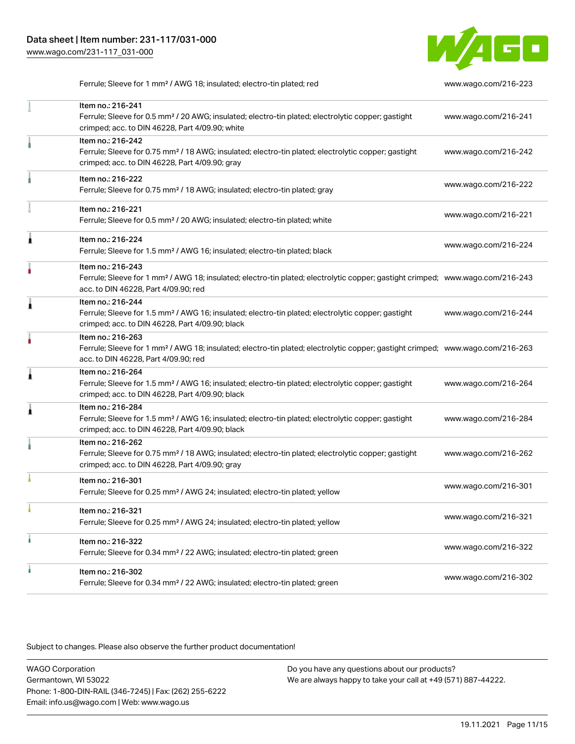

Ferrule; Sleeve for 1 mm² / AWG 18; insulated; electro-tin plated; red [www.wago.com/216-223](http://www.wago.com/216-223)

|   | Item no.: 216-241<br>Ferrule; Sleeve for 0.5 mm <sup>2</sup> / 20 AWG; insulated; electro-tin plated; electrolytic copper; gastight<br>crimped; acc. to DIN 46228, Part 4/09.90; white                  | www.wago.com/216-241 |
|---|---------------------------------------------------------------------------------------------------------------------------------------------------------------------------------------------------------|----------------------|
|   | Item no.: 216-242<br>Ferrule; Sleeve for 0.75 mm <sup>2</sup> / 18 AWG; insulated; electro-tin plated; electrolytic copper; gastight<br>crimped; acc. to DIN 46228, Part 4/09.90; gray                  | www.wago.com/216-242 |
|   | Item no.: 216-222<br>Ferrule; Sleeve for 0.75 mm <sup>2</sup> / 18 AWG; insulated; electro-tin plated; gray                                                                                             | www.wago.com/216-222 |
|   | Item no.: 216-221<br>Ferrule; Sleeve for 0.5 mm <sup>2</sup> / 20 AWG; insulated; electro-tin plated; white                                                                                             | www.wago.com/216-221 |
| Â | Item no.: 216-224<br>Ferrule; Sleeve for 1.5 mm <sup>2</sup> / AWG 16; insulated; electro-tin plated; black                                                                                             | www.wago.com/216-224 |
|   | Item no.: 216-243<br>Ferrule; Sleeve for 1 mm <sup>2</sup> / AWG 18; insulated; electro-tin plated; electrolytic copper; gastight crimped; www.wago.com/216-243<br>acc. to DIN 46228, Part 4/09.90; red |                      |
| 1 | Item no.: 216-244<br>Ferrule; Sleeve for 1.5 mm <sup>2</sup> / AWG 16; insulated; electro-tin plated; electrolytic copper; gastight<br>crimped; acc. to DIN 46228, Part 4/09.90; black                  | www.wago.com/216-244 |
|   | Item no.: 216-263<br>Ferrule; Sleeve for 1 mm <sup>2</sup> / AWG 18; insulated; electro-tin plated; electrolytic copper; gastight crimped; www.wago.com/216-263<br>acc. to DIN 46228, Part 4/09.90; red |                      |
| Â | Item no.: 216-264<br>Ferrule; Sleeve for 1.5 mm <sup>2</sup> / AWG 16; insulated; electro-tin plated; electrolytic copper; gastight<br>crimped; acc. to DIN 46228, Part 4/09.90; black                  | www.wago.com/216-264 |
| 1 | Item no.: 216-284<br>Ferrule; Sleeve for 1.5 mm <sup>2</sup> / AWG 16; insulated; electro-tin plated; electrolytic copper; gastight<br>crimped; acc. to DIN 46228, Part 4/09.90; black                  | www.wago.com/216-284 |
|   | Item no.: 216-262<br>Ferrule; Sleeve for 0.75 mm <sup>2</sup> / 18 AWG; insulated; electro-tin plated; electrolytic copper; gastight<br>crimped; acc. to DIN 46228, Part 4/09.90; gray                  | www.wago.com/216-262 |
|   | Item no.: 216-301<br>Ferrule; Sleeve for 0.25 mm <sup>2</sup> / AWG 24; insulated; electro-tin plated; yellow                                                                                           | www.wago.com/216-301 |
|   | Item no.: 216-321<br>Ferrule; Sleeve for 0.25 mm <sup>2</sup> / AWG 24; insulated; electro-tin plated; yellow                                                                                           | www.wago.com/216-321 |
|   | Item no.: 216-322<br>Ferrule; Sleeve for 0.34 mm <sup>2</sup> / 22 AWG; insulated; electro-tin plated; green                                                                                            | www.wago.com/216-322 |
|   | Item no.: 216-302<br>Ferrule; Sleeve for 0.34 mm <sup>2</sup> / 22 AWG; insulated; electro-tin plated; green                                                                                            | www.wago.com/216-302 |

Subject to changes. Please also observe the further product documentation!

WAGO Corporation Germantown, WI 53022 Phone: 1-800-DIN-RAIL (346-7245) | Fax: (262) 255-6222 Email: info.us@wago.com | Web: www.wago.us Do you have any questions about our products? We are always happy to take your call at +49 (571) 887-44222.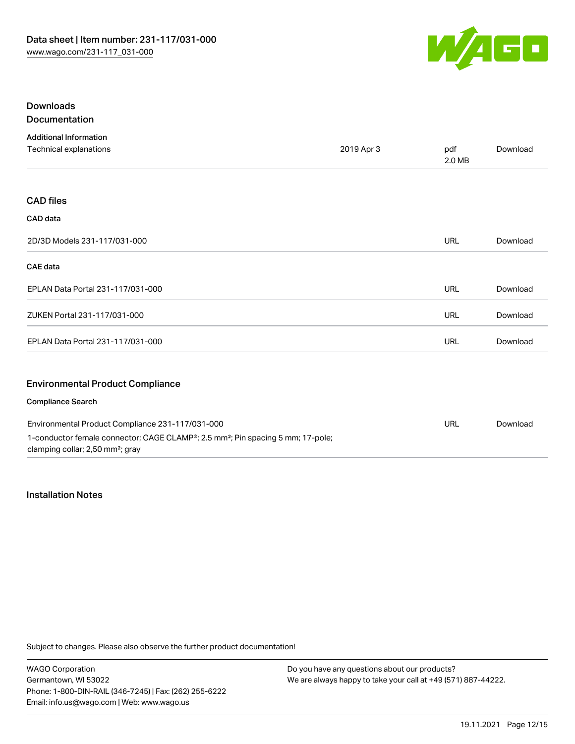

#### Downloads Documentation

| <b>Additional Information</b>                                                                                                               |            |               |          |
|---------------------------------------------------------------------------------------------------------------------------------------------|------------|---------------|----------|
| Technical explanations                                                                                                                      | 2019 Apr 3 | pdf<br>2.0 MB | Download |
|                                                                                                                                             |            |               |          |
| <b>CAD files</b>                                                                                                                            |            |               |          |
| CAD data                                                                                                                                    |            |               |          |
| 2D/3D Models 231-117/031-000                                                                                                                |            | <b>URL</b>    | Download |
| <b>CAE</b> data                                                                                                                             |            |               |          |
| EPLAN Data Portal 231-117/031-000                                                                                                           |            | <b>URL</b>    | Download |
| ZUKEN Portal 231-117/031-000                                                                                                                |            | URL           | Download |
| EPLAN Data Portal 231-117/031-000                                                                                                           |            | URL           | Download |
| <b>Environmental Product Compliance</b>                                                                                                     |            |               |          |
| <b>Compliance Search</b>                                                                                                                    |            |               |          |
| Environmental Product Compliance 231-117/031-000                                                                                            |            | <b>URL</b>    | Download |
| 1-conductor female connector; CAGE CLAMP®; 2.5 mm <sup>2</sup> ; Pin spacing 5 mm; 17-pole;<br>clamping collar; 2,50 mm <sup>2</sup> ; gray |            |               |          |

Installation Notes

Subject to changes. Please also observe the further product documentation!

WAGO Corporation Germantown, WI 53022 Phone: 1-800-DIN-RAIL (346-7245) | Fax: (262) 255-6222 Email: info.us@wago.com | Web: www.wago.us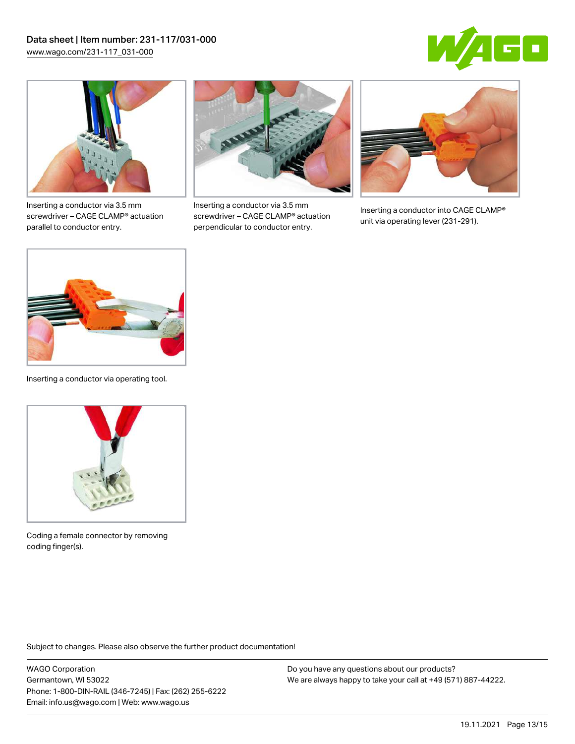



Inserting a conductor via 3.5 mm screwdriver – CAGE CLAMP® actuation parallel to conductor entry.



Inserting a conductor via 3.5 mm screwdriver – CAGE CLAMP® actuation perpendicular to conductor entry.



Inserting a conductor into CAGE CLAMP® unit via operating lever (231-291).



Inserting a conductor via operating tool.



Coding a female connector by removing coding finger(s).

Subject to changes. Please also observe the further product documentation!

WAGO Corporation Germantown, WI 53022 Phone: 1-800-DIN-RAIL (346-7245) | Fax: (262) 255-6222 Email: info.us@wago.com | Web: www.wago.us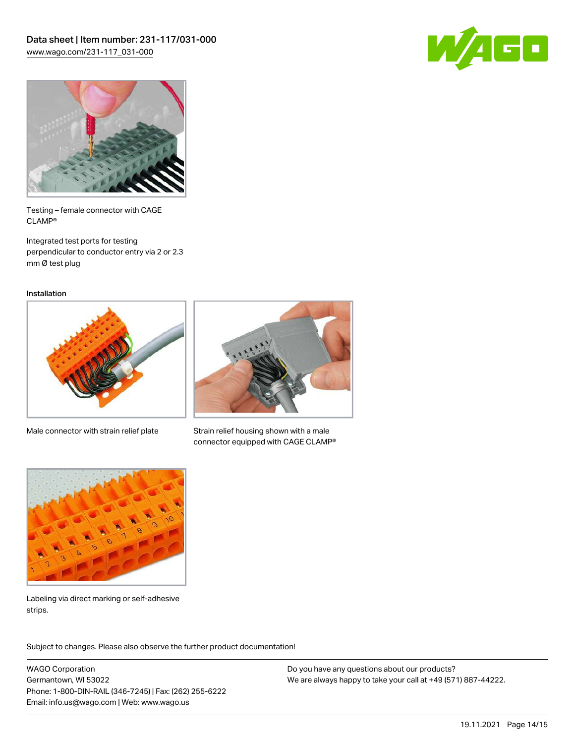



Testing – female connector with CAGE CLAMP®

Integrated test ports for testing perpendicular to conductor entry via 2 or 2.3 mm Ø test plug

Installation



Male connector with strain relief plate



Strain relief housing shown with a male connector equipped with CAGE CLAMP®



Labeling via direct marking or self-adhesive strips.

Subject to changes. Please also observe the further product documentation! Product family

WAGO Corporation Germantown, WI 53022 Phone: 1-800-DIN-RAIL (346-7245) | Fax: (262) 255-6222 Email: info.us@wago.com | Web: www.wago.us